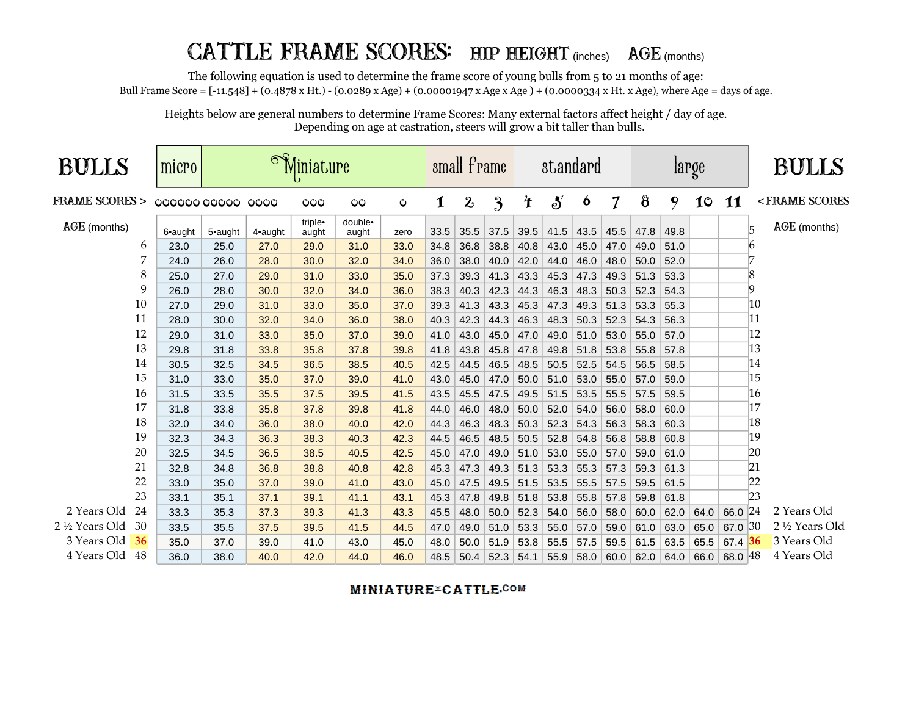## CATTLE FRAME SCORES: HIP HEIGHT (inches) AGE (months)

The following equation is used to determine the frame score of young bulls from 5 to 21 months of age:

Bull Frame Score = [-11.548] + (0.4878 x Ht.) - (0.0289 x Age) + (0.00001947 x Age x Age ) + (0.0000334 x Ht. x Age), where Age = days of age.

Heights below are general numbers to determine Frame Scores: Many external factors affect height / day of age. Depending on age at castration, steers will grow a bit taller than bulls.

| <b>BULLS</b>             | micro            |         |         | Miniature        |                  |      |      | small frame  |                         |                    | standard         |      |                          | large |      |      |           | <b>BULLS</b>              |
|--------------------------|------------------|---------|---------|------------------|------------------|------|------|--------------|-------------------------|--------------------|------------------|------|--------------------------|-------|------|------|-----------|---------------------------|
| <b>FRAME SCORES &gt;</b> | ooooo ooooo oooo |         |         | $O_0$            | CO               | O    | 1    | $\mathbf{2}$ | $\overline{\mathbf{3}}$ | $\mathbf{\hat{f}}$ | $\boldsymbol{S}$ | 6    | $\overline{\mathcal{I}}$ | 8     | 9    | 10   | 11        | <frame scores<="" th=""/> |
| AGE (months)             | 6•aught          | 5•aught | 4•aught | triple•<br>aught | double•<br>aught | zero | 33.5 | 35.5         | 37.5                    | 39.5               | 41.5             | 43.5 | 45.5                     | 47.8  | 49.8 |      |           | AGE (months)<br>5         |
| 6                        | 23.0             | 25.0    | 27.0    | 29.0             | 31.0             | 33.0 | 34.8 | 36.8         | 38.8                    | 40.8               | 43.0             | 45.0 | 47.0                     | 49.0  | 51.0 |      |           | 6                         |
|                          | 24.0             | 26.0    | 28.0    | 30.0             | 32.0             | 34.0 | 36.0 | 38.0         | 40.0                    | 42.0               | 44.0             | 46.0 | 48.0                     | 50.0  | 52.0 |      |           | 7                         |
| 8                        | 25.0             | 27.0    | 29.0    | 31.0             | 33.0             | 35.0 | 37.3 | 39.3         | 41.3                    | 43.3               | 45.3             | 47.3 | 49.3                     | 51.3  | 53.3 |      |           | 8                         |
| 9                        | 26.0             | 28.0    | 30.0    | 32.0             | 34.0             | 36.0 | 38.3 | 40.3         | 42.3                    | 44.3               | 46.3             | 48.3 | 50.3                     | 52.3  | 54.3 |      |           | 9                         |
| 10                       | 27.0             | 29.0    | 31.0    | 33.0             | 35.0             | 37.0 | 39.3 | 41.3         | 43.3                    | 45.3               | 47.3             | 49.3 | 51.3                     | 53.3  | 55.3 |      |           | 10                        |
| 11                       | 28.0             | 30.0    | 32.0    | 34.0             | 36.0             | 38.0 | 40.3 | 42.3         | 44.3                    | 46.3               | 48.3             | 50.3 | 52.3                     | 54.3  | 56.3 |      |           | 11                        |
| 12                       | 29.0             | 31.0    | 33.0    | 35.0             | 37.0             | 39.0 | 41.0 | 43.0         | 45.0                    | 47.0               | 49.0             | 51.0 | 53.0                     | 55.0  | 57.0 |      |           | 12                        |
| 13                       | 29.8             | 31.8    | 33.8    | 35.8             | 37.8             | 39.8 | 41.8 | 43.8         | 45.8                    | 47.8               | 49.8             | 51.8 | 53.8                     | 55.8  | 57.8 |      |           | 13                        |
| 14                       | 30.5             | 32.5    | 34.5    | 36.5             | 38.5             | 40.5 | 42.5 | 44.5         | 46.5                    | 48.5               | 50.5             | 52.5 | 54.5                     | 56.5  | 58.5 |      |           | 14                        |
| 15                       | 31.0             | 33.0    | 35.0    | 37.0             | 39.0             | 41.0 | 43.0 | 45.0         | 47.0                    | 50.0               | 51.0             | 53.0 | 55.0                     | 57.0  | 59.0 |      |           | 15                        |
| 16                       | 31.5             | 33.5    | 35.5    | 37.5             | 39.5             | 41.5 | 43.5 | 45.5         | 47.5                    | 49.5               | 51.5             | 53.5 | 55.5                     | 57.5  | 59.5 |      |           | 16                        |
| 17                       | 31.8             | 33.8    | 35.8    | 37.8             | 39.8             | 41.8 | 44.0 | 46.0         | 48.0                    | 50.0               | 52.0             | 54.0 | 56.0                     | 58.0  | 60.0 |      |           | 17                        |
| 18                       | 32.0             | 34.0    | 36.0    | 38.0             | 40.0             | 42.0 | 44.3 | 46.3         | 48.3                    | 50.3               | 52.3             | 54.3 | 56.3                     | 58.3  | 60.3 |      |           | 18                        |
| 19                       | 32.3             | 34.3    | 36.3    | 38.3             | 40.3             | 42.3 | 44.5 | 46.5         | 48.5                    | 50.5               | 52.8             | 54.8 | 56.8                     | 58.8  | 60.8 |      |           | 19                        |
| 20                       | 32.5             | 34.5    | 36.5    | 38.5             | 40.5             | 42.5 | 45.0 | 47.0         | 49.0                    | 51.0               | 53.0             | 55.0 | 57.0                     | 59.0  | 61.0 |      |           | 20                        |
| 21                       | 32.8             | 34.8    | 36.8    | 38.8             | 40.8             | 42.8 | 45.3 | 47.3         | 49.3                    | 51.3               | 53.3             | 55.3 | 57.3                     | 59.3  | 61.3 |      |           | 21                        |
| 22                       | 33.0             | 35.0    | 37.0    | 39.0             | 41.0             | 43.0 | 45.0 | 47.5         | 49.5                    | 51.5               | 53.5             | 55.5 | 57.5                     | 59.5  | 61.5 |      |           | 22                        |
| 23                       | 33.1             | 35.1    | 37.1    | 39.1             | 41.1             | 43.1 | 45.3 | 47.8         | 49.8                    | 51.8               | 53.8             | 55.8 | 57.8                     | 59.8  | 61.8 |      |           | 23                        |
| 2 Years Old<br>24        | 33.3             | 35.3    | 37.3    | 39.3             | 41.3             | 43.3 | 45.5 | 48.0         | 50.0                    | 52.3               | 54.0             | 56.0 | 58.0                     | 60.0  | 62.0 | 64.0 | 66.0 24   | 2 Years Old               |
| 2 1/2 Years Old<br>30    | 33.5             | 35.5    | 37.5    | 39.5             | 41.5             | 44.5 | 47.0 | 49.0         | 51.0                    | 53.3               | 55.0             | 57.0 | 59.0                     | 61.0  | 63.0 | 65.0 | 67.0 30   | 2 ½ Years Old             |
| 3 Years Old<br>36        | 35.0             | 37.0    | 39.0    | 41.0             | 43.0             | 45.0 | 48.0 | 50.0         | 51.9                    | 53.8               | 55.5             | 57.5 | 59.5                     | 61.5  | 63.5 | 65.5 | $67.4$ 36 | 3 Years Old               |
| 4 Years Old 48           | 36.0             | 38.0    | 40.0    | 42.0             | 44.0             | 46.0 | 48.5 | 50.4         | 52.3                    | 54.1               | 55.9             | 58.0 | 60.0                     | 62.0  | 64.0 | 66.0 | 68.0 48   | 4 Years Old               |

**MINIATURE CATTLE.COM**